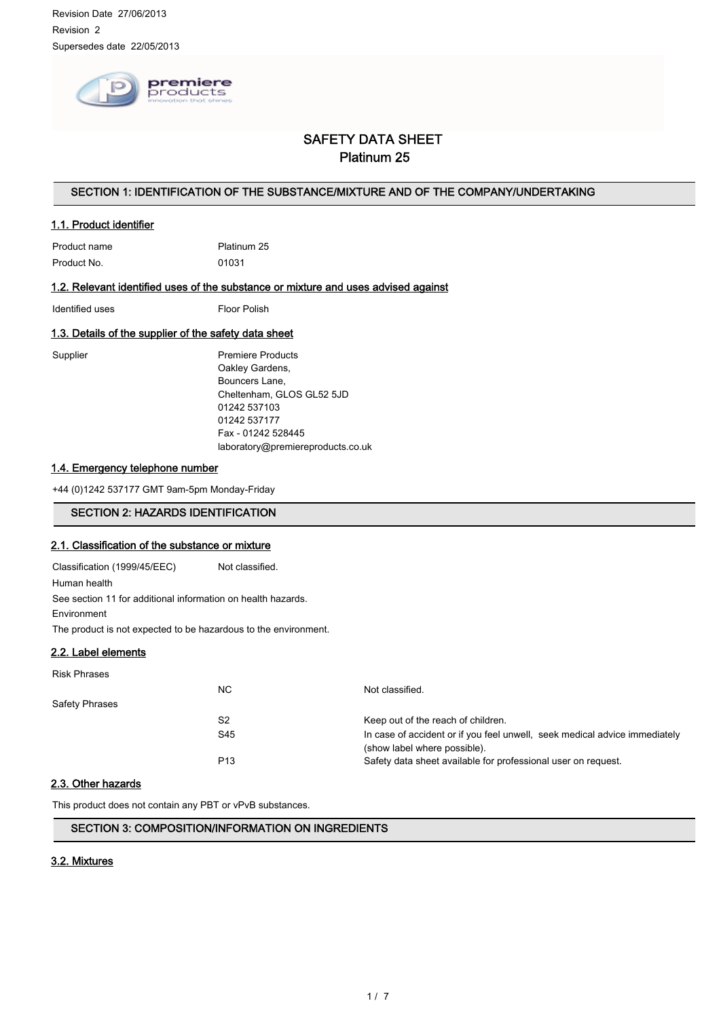

# SAFETY DATA SHEET Platinum 25

# SECTION 1: IDENTIFICATION OF THE SUBSTANCE/MIXTURE AND OF THE COMPANY/UNDERTAKING

## 1.1. Product identifier

Product name Platinum 25 Product No. 66 01031

## 1.2. Relevant identified uses of the substance or mixture and uses advised against

Identified uses Floor Polish

## 1.3. Details of the supplier of the safety data sheet

Supplier Premiere Products Oakley Gardens, Bouncers Lane, Cheltenham, GLOS GL52 5JD 01242 537103 01242 537177 Fax - 01242 528445 laboratory@premiereproducts.co.uk

## 1.4. Emergency telephone number

+44 (0)1242 537177 GMT 9am-5pm Monday-Friday

# SECTION 2: HAZARDS IDENTIFICATION

# 2.1. Classification of the substance or mixture

Classification (1999/45/EEC) Not classified. Human health See section 11 for additional information on health hazards. Environment The product is not expected to be hazardous to the environment.

## 2.2. Label elements

Risk Phrases

|                | NC.             | Not classified.                                                                                            |
|----------------|-----------------|------------------------------------------------------------------------------------------------------------|
| Safety Phrases |                 |                                                                                                            |
|                | S <sub>2</sub>  | Keep out of the reach of children.                                                                         |
|                | S45             | In case of accident or if you feel unwell, seek medical advice immediately<br>(show label where possible). |
|                | P <sub>13</sub> | Safety data sheet available for professional user on request.                                              |

# 2.3. Other hazards

This product does not contain any PBT or vPvB substances.

# SECTION 3: COMPOSITION/INFORMATION ON INGREDIENTS

# 3.2. Mixtures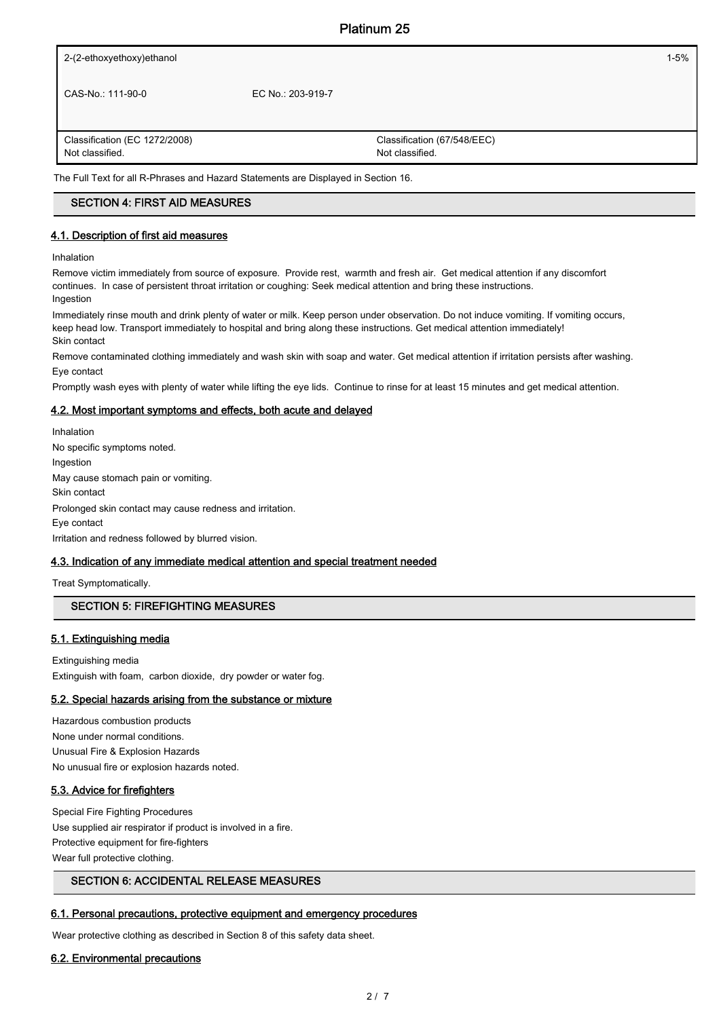| 2-(2-ethoxyethoxy)ethanol                        |                                                | $1 - 5%$ |
|--------------------------------------------------|------------------------------------------------|----------|
| CAS-No.: 111-90-0                                | EC No.: 203-919-7                              |          |
| Classification (EC 1272/2008)<br>Not classified. | Classification (67/548/EEC)<br>Not classified. |          |

The Full Text for all R-Phrases and Hazard Statements are Displayed in Section 16.

# SECTION 4: FIRST AID MEASURES

## 4.1. Description of first aid measures

Inhalation

Remove victim immediately from source of exposure. Provide rest, warmth and fresh air. Get medical attention if any discomfort continues. In case of persistent throat irritation or coughing: Seek medical attention and bring these instructions. Ingestion

Immediately rinse mouth and drink plenty of water or milk. Keep person under observation. Do not induce vomiting. If vomiting occurs, keep head low. Transport immediately to hospital and bring along these instructions. Get medical attention immediately! Skin contact

Remove contaminated clothing immediately and wash skin with soap and water. Get medical attention if irritation persists after washing. Eye contact

Promptly wash eyes with plenty of water while lifting the eye lids. Continue to rinse for at least 15 minutes and get medical attention.

## 4.2. Most important symptoms and effects, both acute and delayed

Inhalation No specific symptoms noted. Ingestion May cause stomach pain or vomiting. Skin contact Prolonged skin contact may cause redness and irritation. Eye contact Irritation and redness followed by blurred vision.

# 4.3. Indication of any immediate medical attention and special treatment needed

Treat Symptomatically.

# SECTION 5: FIREFIGHTING MEASURES

# 5.1. Extinguishing media

Extinguishing media Extinguish with foam, carbon dioxide, dry powder or water fog.

## 5.2. Special hazards arising from the substance or mixture

Hazardous combustion products None under normal conditions. Unusual Fire & Explosion Hazards No unusual fire or explosion hazards noted.

# 5.3. Advice for firefighters

Special Fire Fighting Procedures Use supplied air respirator if product is involved in a fire. Protective equipment for fire-fighters Wear full protective clothing.

# SECTION 6: ACCIDENTAL RELEASE MEASURES

## 6.1. Personal precautions, protective equipment and emergency procedures

Wear protective clothing as described in Section 8 of this safety data sheet.

## 6.2. Environmental precautions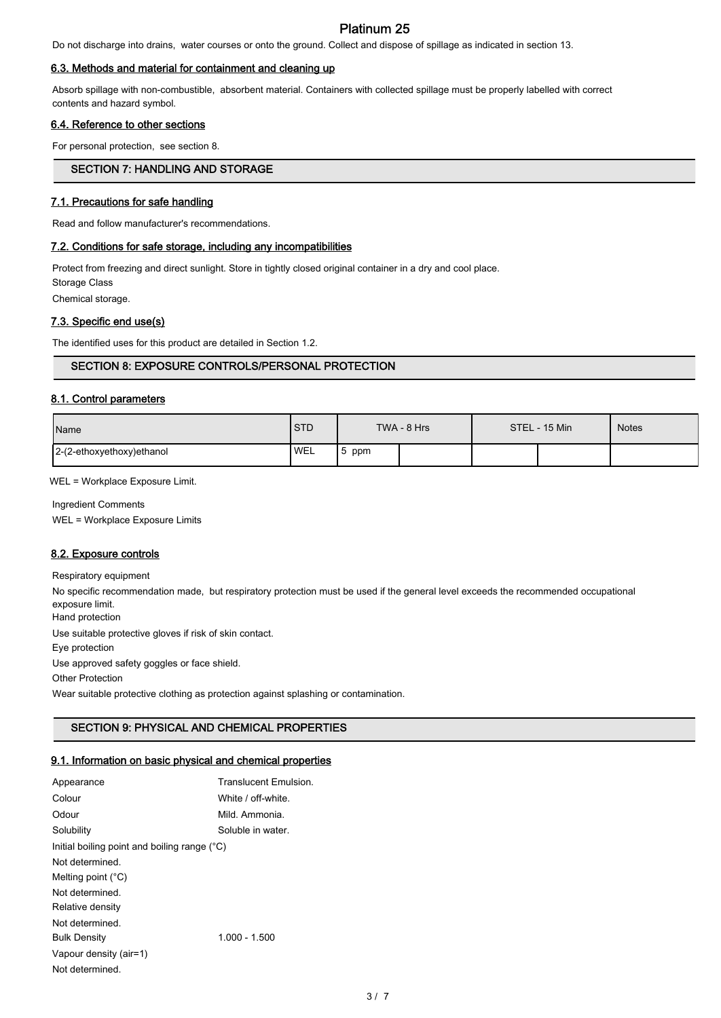# Platinum 25

Do not discharge into drains, water courses or onto the ground. Collect and dispose of spillage as indicated in section 13.

# 6.3. Methods and material for containment and cleaning up

Absorb spillage with non-combustible, absorbent material. Containers with collected spillage must be properly labelled with correct contents and hazard symbol.

# 6.4. Reference to other sections

For personal protection, see section 8.

## SECTION 7: HANDLING AND STORAGE

## 7.1. Precautions for safe handling

Read and follow manufacturer's recommendations.

#### 7.2. Conditions for safe storage, including any incompatibilities

Protect from freezing and direct sunlight. Store in tightly closed original container in a dry and cool place. Storage Class Chemical storage.

## 7.3. Specific end use(s)

The identified uses for this product are detailed in Section 1.2.

## SECTION 8: EXPOSURE CONTROLS/PERSONAL PROTECTION

## 8.1. Control parameters

| Name                      | <b>STD</b> |           | TWA - 8 Hrs | STEL - 15 Min | <b>Notes</b> |
|---------------------------|------------|-----------|-------------|---------------|--------------|
| 2-(2-ethoxyethoxy)ethanol | ' WEL      | ppm<br>.5 |             |               |              |

WEL = Workplace Exposure Limit.

Ingredient Comments WEL = Workplace Exposure Limits

# 8.2. Exposure controls

Respiratory equipment

No specific recommendation made, but respiratory protection must be used if the general level exceeds the recommended occupational exposure limit.

Hand protection

Use suitable protective gloves if risk of skin contact.

Eye protection

Use approved safety goggles or face shield.

Other Protection

Wear suitable protective clothing as protection against splashing or contamination.

# SECTION 9: PHYSICAL AND CHEMICAL PROPERTIES

## 9.1. Information on basic physical and chemical properties

| Appearance                                   | Translucent Emulsion. |
|----------------------------------------------|-----------------------|
| Colour                                       | White / off-white.    |
| Odour                                        | Mild. Ammonia.        |
| Solubility                                   | Soluble in water.     |
| Initial boiling point and boiling range (°C) |                       |
| Not determined                               |                       |
| Melting point $(^{\circ}C)$                  |                       |
| Not determined                               |                       |
| Relative density                             |                       |
| Not determined.                              |                       |
| <b>Bulk Density</b>                          | 1.000 - 1.500         |
| Vapour density (air=1)                       |                       |
| Not determined                               |                       |
|                                              |                       |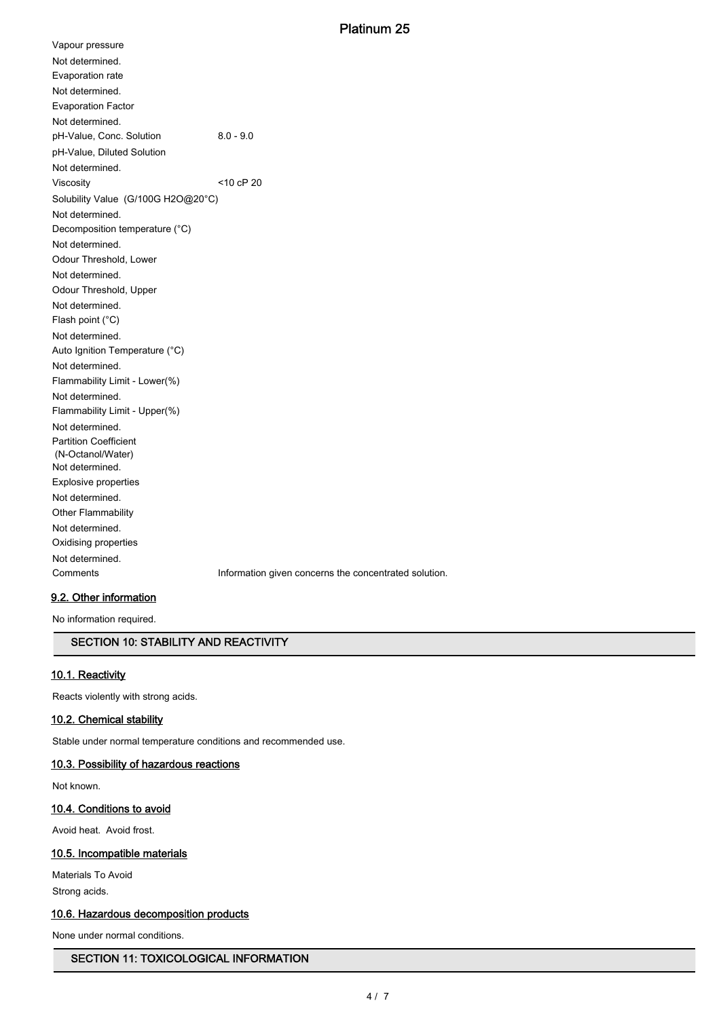Vapour pressure Not determined. Evaporation rate Not determined. Evaporation Factor Not determined. pH-Value, Conc. Solution 8.0 - 9.0 pH-Value, Diluted Solution Not determined. Viscosity <10 cP 20 Solubility Value (G/100G H2O@20°C) Not determined. Decomposition temperature (°C) Not determined. Odour Threshold, Lower Not determined. Odour Threshold, Upper Not determined. Flash point (°C) Not determined. Auto Ignition Temperature (°C) Not determined. Flammability Limit - Lower(%) Not determined. Flammability Limit - Upper(%) Not determined. Partition Coefficient (N-Octanol/Water) Not determined. Explosive properties Not determined. Other Flammability Not determined. Oxidising properties Not determined. Comments Information given concerns the concentrated solution.

# 9.2. Other information

No information required.

# SECTION 10: STABILITY AND REACTIVITY

# 10.1. Reactivity

Reacts violently with strong acids.

# 10.2. Chemical stability

Stable under normal temperature conditions and recommended use.

# 10.3. Possibility of hazardous reactions

Not known.

## 10.4. Conditions to avoid

Avoid heat. Avoid frost.

## 10.5. Incompatible materials

Materials To Avoid Strong acids.

## 10.6. Hazardous decomposition products

None under normal conditions.

# SECTION 11: TOXICOLOGICAL INFORMATION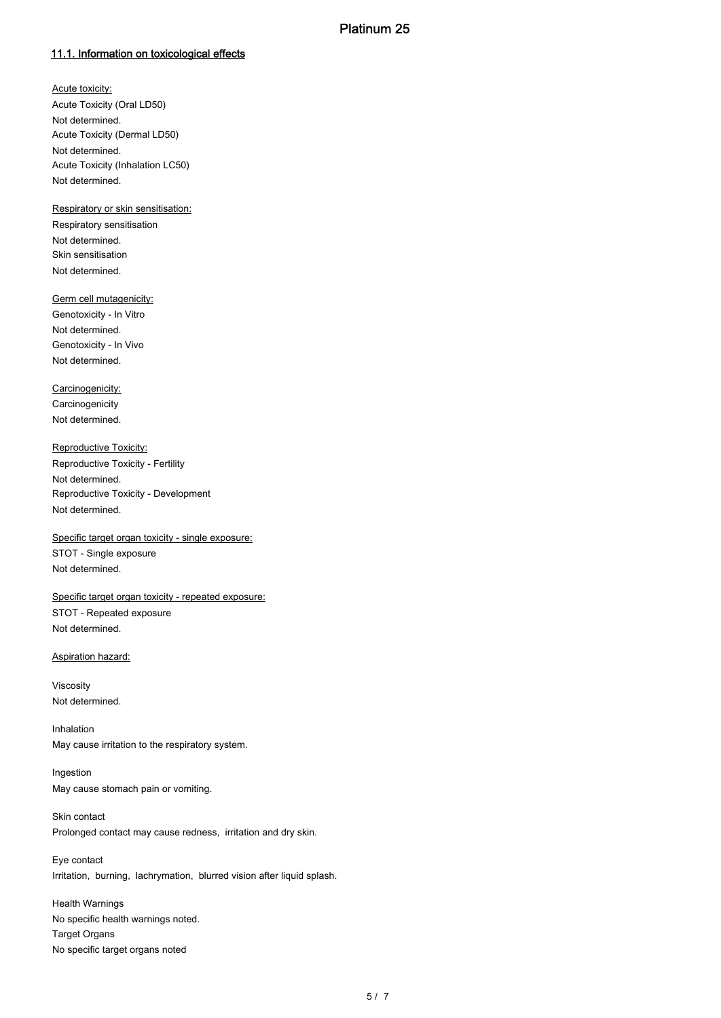# 11.1. Information on toxicological effects

Acute toxicity: Acute Toxicity (Oral LD50) Not determined. Acute Toxicity (Dermal LD50) Not determined. Acute Toxicity (Inhalation LC50) Not determined.

Respiratory or skin sensitisation: Respiratory sensitisation Not determined. Skin sensitisation Not determined.

Germ cell mutagenicity: Genotoxicity - In Vitro Not determined. Genotoxicity - In Vivo Not determined.

Carcinogenicity: **Carcinogenicity** Not determined.

Reproductive Toxicity: Reproductive Toxicity - Fertility Not determined. Reproductive Toxicity - Development Not determined.

Specific target organ toxicity - single exposure: STOT - Single exposure Not determined.

Specific target organ toxicity - repeated exposure: STOT - Repeated exposure Not determined.

Aspiration hazard:

Viscosity Not determined.

Inhalation May cause irritation to the respiratory system.

Ingestion May cause stomach pain or vomiting.

Skin contact Prolonged contact may cause redness, irritation and dry skin.

Eye contact Irritation, burning, lachrymation, blurred vision after liquid splash.

Health Warnings No specific health warnings noted. Target Organs No specific target organs noted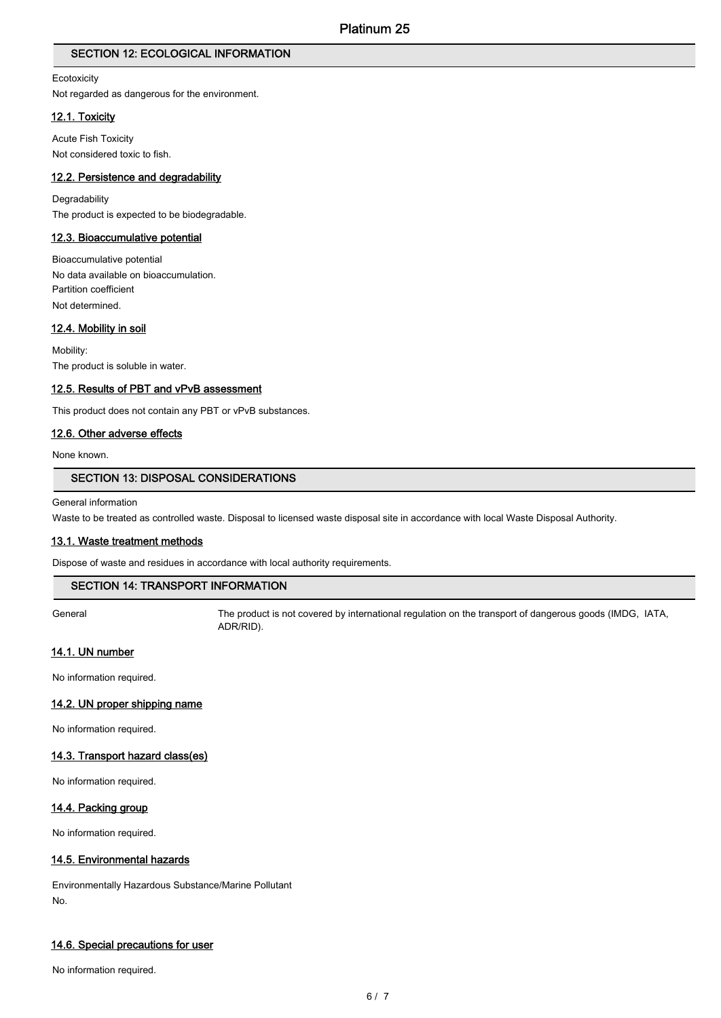# SECTION 12: ECOLOGICAL INFORMATION

**Ecotoxicity** 

Not regarded as dangerous for the environment.

## 12.1. Toxicity

Acute Fish Toxicity Not considered toxic to fish.

# 12.2. Persistence and degradability

**Degradability** The product is expected to be biodegradable.

## 12.3. Bioaccumulative potential

Bioaccumulative potential No data available on bioaccumulation. Partition coefficient Not determined.

## 12.4. Mobility in soil

Mobility: The product is soluble in water.

## 12.5. Results of PBT and vPvB assessment

This product does not contain any PBT or vPvB substances.

## 12.6. Other adverse effects

None known.

## SECTION 13: DISPOSAL CONSIDERATIONS

#### General information

Waste to be treated as controlled waste. Disposal to licensed waste disposal site in accordance with local Waste Disposal Authority.

#### 13.1. Waste treatment methods

Dispose of waste and residues in accordance with local authority requirements.

## SECTION 14: TRANSPORT INFORMATION

General The product is not covered by international regulation on the transport of dangerous goods (IMDG, IATA, ADR/RID).

## 14.1. UN number

No information required.

## 14.2. UN proper shipping name

No information required.

## 14.3. Transport hazard class(es)

No information required.

## 14.4. Packing group

No information required.

## 14.5. Environmental hazards

Environmentally Hazardous Substance/Marine Pollutant No.

## 14.6. Special precautions for user

No information required.